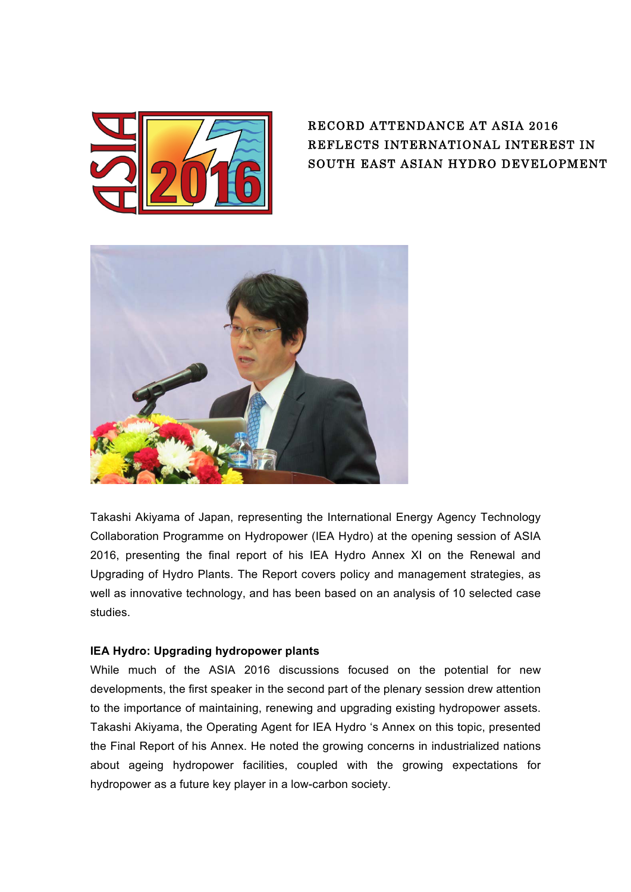

## RECORD ATTENDANCE AT ASIA 2016 REFLECTS INTERNATIONAL INTEREST IN SOUTH EAST ASIAN HYDRO DEVELOPMENT



Takashi Akiyama of Japan, representing the International Energy Agency Technology Collaboration Programme on Hydropower (IEA Hydro) at the opening session of ASIA 2016, presenting the final report of his IEA Hydro Annex XI on the Renewal and Upgrading of Hydro Plants. The Report covers policy and management strategies, as well as innovative technology, and has been based on an analysis of 10 selected case studies.

## **IEA Hydro: Upgrading hydropower plants**

While much of the ASIA 2016 discussions focused on the potential for new developments, the first speaker in the second part of the plenary session drew attention to the importance of maintaining, renewing and upgrading existing hydropower assets. Takashi Akiyama, the Operating Agent for IEA Hydro 's Annex on this topic, presented the Final Report of his Annex. He noted the growing concerns in industrialized nations about ageing hydropower facilities, coupled with the growing expectations for hydropower as a future key player in a low-carbon society.